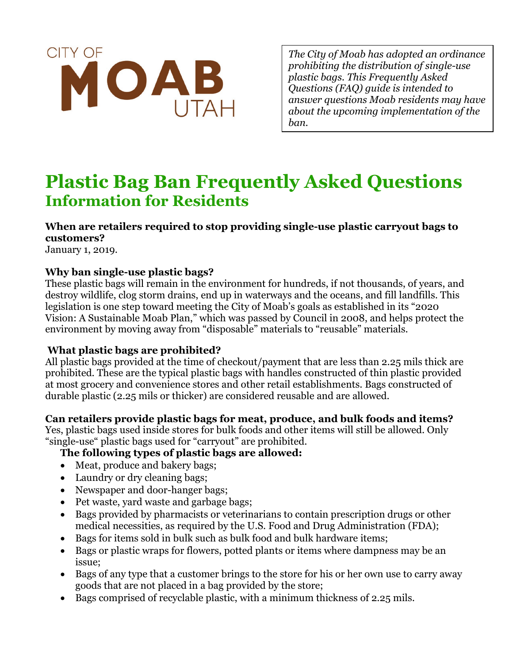

*The City of Moab has adopted an ordinance prohibiting the distribution of single-use plastic bags. This Frequently Asked Questions (FAQ) guide is intended to answer questions Moab residents may have about the upcoming implementation of the ban.*

# **Plastic Bag Ban Frequently Asked Questions Information for Residents**

**When are retailers required to stop providing single-use plastic carryout bags to customers?**

January 1, 2019.

#### **Why ban single-use plastic bags?**

These plastic bags will remain in the environment for hundreds, if not thousands, of years, and destroy wildlife, clog storm drains, end up in waterways and the oceans, and fill landfills. This legislation is one step toward meeting the City of Moab's goals as established in its "2020 Vision: A Sustainable Moab Plan," which was passed by Council in 2008, and helps protect the environment by moving away from "disposable" materials to "reusable" materials.

# **What plastic bags are prohibited?**

All plastic bags provided at the time of checkout/payment that are less than 2.25 mils thick are prohibited. These are the typical plastic bags with handles constructed of thin plastic provided at most grocery and convenience stores and other retail establishments. Bags constructed of durable plastic (2.25 mils or thicker) are considered reusable and are allowed.

# **Can retailers provide plastic bags for meat, produce, and bulk foods and items?**

Yes, plastic bags used inside stores for bulk foods and other items will still be allowed. Only "single-use" plastic bags used for "carryout" are prohibited.

# **The following types of plastic bags are allowed:**

- Meat, produce and bakery bags;
- Laundry or dry cleaning bags;
- Newspaper and door-hanger bags;
- Pet waste, yard waste and garbage bags;
- Bags provided by pharmacists or veterinarians to contain prescription drugs or other medical necessities, as required by the U.S. Food and Drug Administration (FDA);
- Bags for items sold in bulk such as bulk food and bulk hardware items;
- Bags or plastic wraps for flowers, potted plants or items where dampness may be an issue;
- Bags of any type that a customer brings to the store for his or her own use to carry away goods that are not placed in a bag provided by the store;
- Bags comprised of recyclable plastic, with a minimum thickness of 2.25 mils.